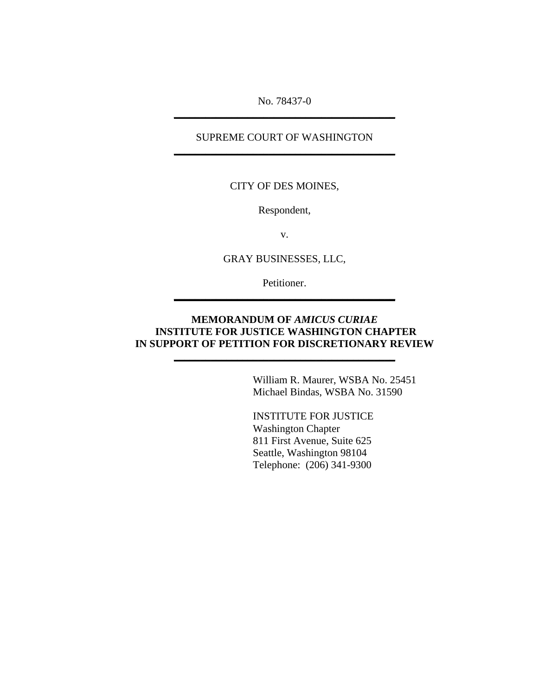No. 78437-0 **\_\_\_\_\_\_\_\_\_\_\_\_\_\_\_\_\_\_\_\_\_\_\_\_\_\_\_\_\_\_\_\_\_\_\_\_\_\_\_\_\_\_**

## SUPREME COURT OF WASHINGTON **\_\_\_\_\_\_\_\_\_\_\_\_\_\_\_\_\_\_\_\_\_\_\_\_\_\_\_\_\_\_\_\_\_\_\_\_\_\_\_\_\_\_**

## CITY OF DES MOINES,

Respondent,

v.

GRAY BUSINESSES, LLC,

Petitioner. **\_\_\_\_\_\_\_\_\_\_\_\_\_\_\_\_\_\_\_\_\_\_\_\_\_\_\_\_\_\_\_\_\_\_\_\_\_\_\_\_\_\_**

## **MEMORANDUM OF** *AMICUS CURIAE*   **INSTITUTE FOR JUSTICE WASHINGTON CHAPTER IN SUPPORT OF PETITION FOR DISCRETIONARY REVIEW**

**\_\_\_\_\_\_\_\_\_\_\_\_\_\_\_\_\_\_\_\_\_\_\_\_\_\_\_\_\_\_\_\_\_\_\_\_\_\_\_\_\_\_**

 William R. Maurer, WSBA No. 25451 Michael Bindas, WSBA No. 31590

INSTITUTE FOR JUSTICE Washington Chapter 811 First Avenue, Suite 625 Seattle, Washington 98104 Telephone: (206) 341-9300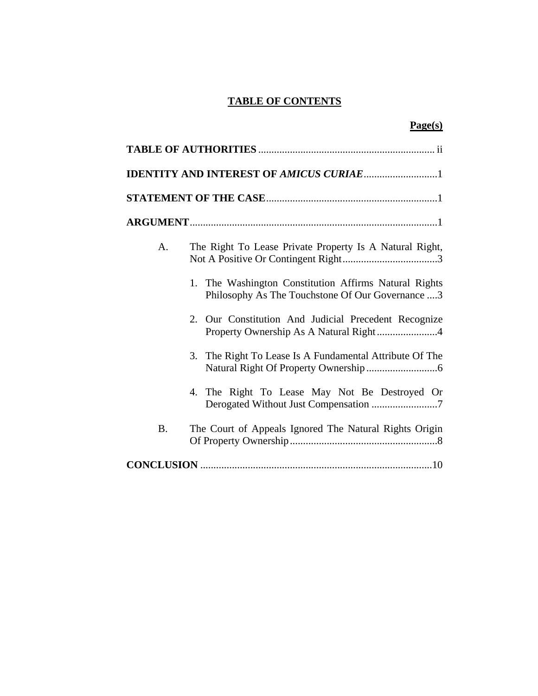## **TABLE OF CONTENTS**

|--|

| A.        | The Right To Lease Private Property Is A Natural Right,                                                   |  |  |  |
|-----------|-----------------------------------------------------------------------------------------------------------|--|--|--|
|           | 1. The Washington Constitution Affirms Natural Rights<br>Philosophy As The Touchstone Of Our Governance 3 |  |  |  |
|           | 2. Our Constitution And Judicial Precedent Recognize<br>Property Ownership As A Natural Right4            |  |  |  |
|           | 3. The Right To Lease Is A Fundamental Attribute Of The                                                   |  |  |  |
|           | 4. The Right To Lease May Not Be Destroyed Or<br>Derogated Without Just Compensation 7                    |  |  |  |
| <b>B.</b> | The Court of Appeals Ignored The Natural Rights Origin                                                    |  |  |  |
|           |                                                                                                           |  |  |  |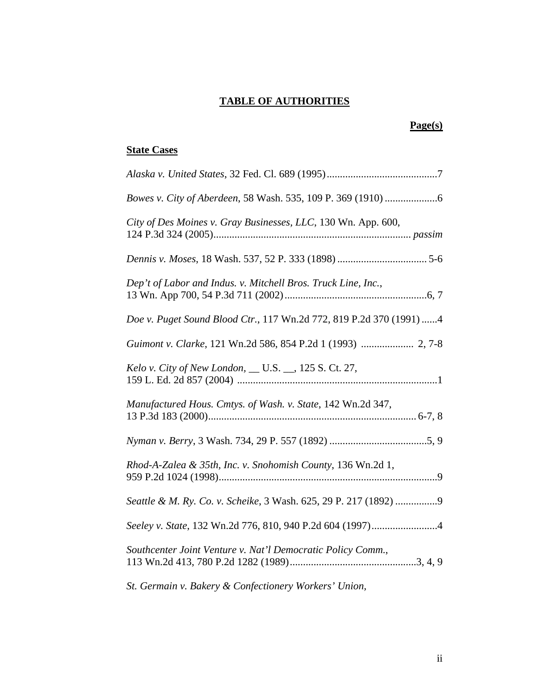# **TABLE OF AUTHORITIES**

## **Page(s)**

# **State Cases**

| City of Des Moines v. Gray Businesses, LLC, 130 Wn. App. 600,       |
|---------------------------------------------------------------------|
|                                                                     |
| Dep't of Labor and Indus. v. Mitchell Bros. Truck Line, Inc.,       |
| Doe v. Puget Sound Blood Ctr., 117 Wn.2d 772, 819 P.2d 370 (1991) 4 |
| Guimont v. Clarke, 121 Wn.2d 586, 854 P.2d 1 (1993)  2, 7-8         |
| Kelo v. City of New London, __ U.S. __, 125 S. Ct. 27,              |
| Manufactured Hous. Cmtys. of Wash. v. State, 142 Wn.2d 347,         |
|                                                                     |
| Rhod-A-Zalea & 35th, Inc. v. Snohomish County, 136 Wn.2d 1,         |
| Seattle & M. Ry. Co. v. Scheike, 3 Wash. 625, 29 P. 217 (1892) 9    |
|                                                                     |
| Southcenter Joint Venture v. Nat'l Democratic Policy Comm.,         |
| St. Germain v. Bakery & Confectionery Workers' Union,               |

ii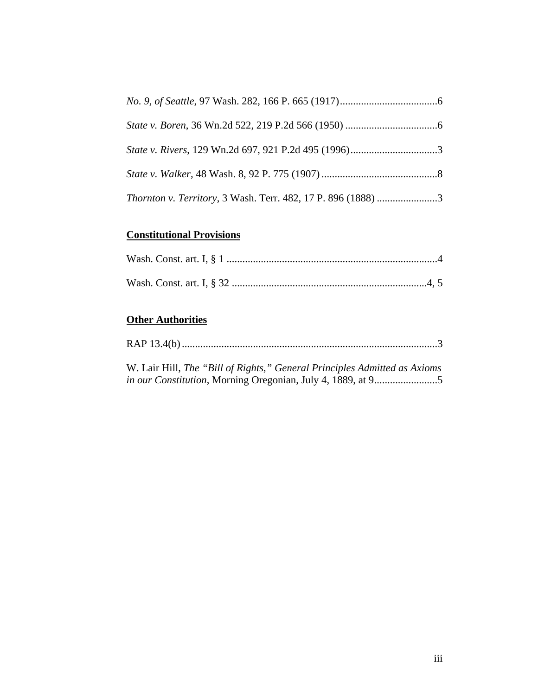| Thornton v. Territory, 3 Wash. Terr. 482, 17 P. 896 (1888) 3 |  |
|--------------------------------------------------------------|--|

# **Constitutional Provisions**

## **Other Authorities**

|--|--|--|

W. Lair Hill, *The "Bill of Rights," General Principles Admitted as Axioms in our Constitution*, Morning Oregonian, July 4, 1889, at 9........................5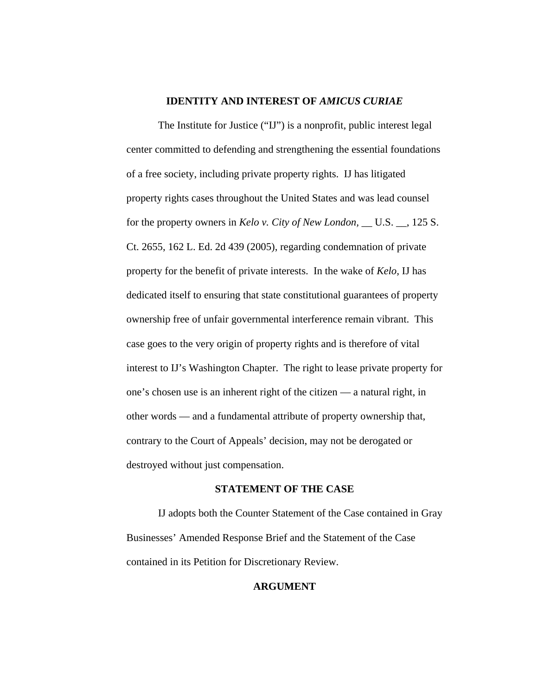#### **IDENTITY AND INTEREST OF** *AMICUS CURIAE*

 The Institute for Justice ("IJ") is a nonprofit, public interest legal center committed to defending and strengthening the essential foundations of a free society, including private property rights. IJ has litigated property rights cases throughout the United States and was lead counsel for the property owners in *Kelo v. City of New London,* \_\_ U.S. \_\_, 125 S. Ct. 2655, 162 L. Ed. 2d 439 (2005), regarding condemnation of private property for the benefit of private interests. In the wake of *Kelo,* IJ has dedicated itself to ensuring that state constitutional guarantees of property ownership free of unfair governmental interference remain vibrant. This case goes to the very origin of property rights and is therefore of vital interest to IJ's Washington Chapter. The right to lease private property for one's chosen use is an inherent right of the citizen — a natural right, in other words — and a fundamental attribute of property ownership that, contrary to the Court of Appeals' decision, may not be derogated or destroyed without just compensation.

#### **STATEMENT OF THE CASE**

IJ adopts both the Counter Statement of the Case contained in Gray Businesses' Amended Response Brief and the Statement of the Case contained in its Petition for Discretionary Review.

#### **ARGUMENT**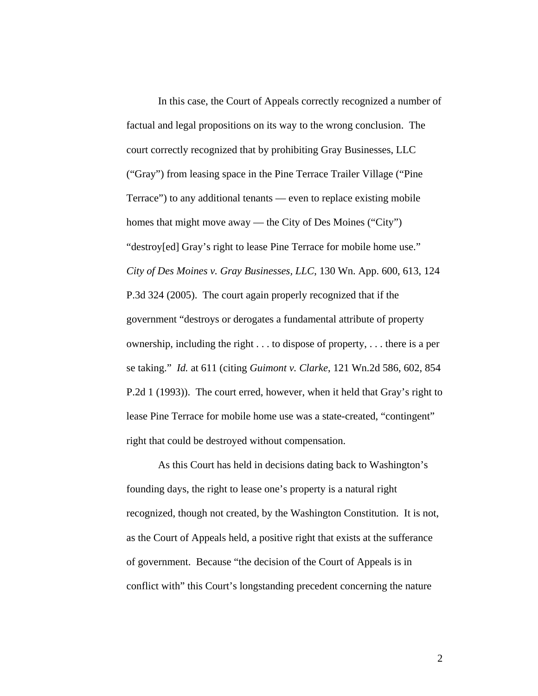In this case, the Court of Appeals correctly recognized a number of factual and legal propositions on its way to the wrong conclusion. The court correctly recognized that by prohibiting Gray Businesses, LLC ("Gray") from leasing space in the Pine Terrace Trailer Village ("Pine Terrace") to any additional tenants — even to replace existing mobile homes that might move away — the City of Des Moines ("City") "destroy[ed] Gray's right to lease Pine Terrace for mobile home use." *City of Des Moines v. Gray Businesses, LLC*, 130 Wn. App. 600, 613, 124 P.3d 324 (2005). The court again properly recognized that if the government "destroys or derogates a fundamental attribute of property ownership, including the right . . . to dispose of property, . . . there is a per se taking." *Id.* at 611 (citing *Guimont v. Clarke*, 121 Wn.2d 586, 602, 854 P.2d 1 (1993)). The court erred, however, when it held that Gray's right to lease Pine Terrace for mobile home use was a state-created, "contingent" right that could be destroyed without compensation.

As this Court has held in decisions dating back to Washington's founding days, the right to lease one's property is a natural right recognized, though not created, by the Washington Constitution. It is not, as the Court of Appeals held, a positive right that exists at the sufferance of government. Because "the decision of the Court of Appeals is in conflict with" this Court's longstanding precedent concerning the nature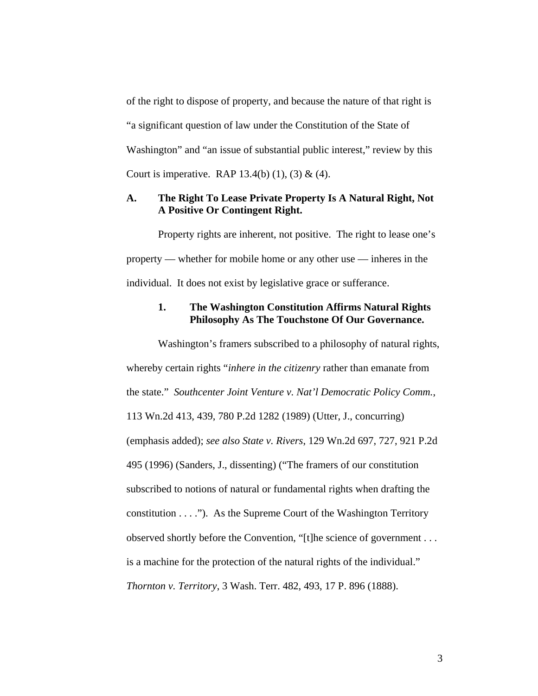of the right to dispose of property, and because the nature of that right is "a significant question of law under the Constitution of the State of Washington" and "an issue of substantial public interest," review by this Court is imperative. RAP  $13.4(b)$  (1), (3) & (4).

## **A. The Right To Lease Private Property Is A Natural Right, Not A Positive Or Contingent Right.**

Property rights are inherent, not positive. The right to lease one's property — whether for mobile home or any other use — inheres in the individual. It does not exist by legislative grace or sufferance.

#### **1. The Washington Constitution Affirms Natural Rights Philosophy As The Touchstone Of Our Governance.**

Washington's framers subscribed to a philosophy of natural rights, whereby certain rights "*inhere in the citizenry* rather than emanate from the state." *Southcenter Joint Venture v. Nat'l Democratic Policy Comm.*, 113 Wn.2d 413, 439, 780 P.2d 1282 (1989) (Utter, J., concurring) (emphasis added); *see also State v. Rivers*, 129 Wn.2d 697, 727, 921 P.2d 495 (1996) (Sanders, J., dissenting) ("The framers of our constitution subscribed to notions of natural or fundamental rights when drafting the constitution . . . ."). As the Supreme Court of the Washington Territory observed shortly before the Convention, "[t]he science of government . . . is a machine for the protection of the natural rights of the individual." *Thornton v. Territory*, 3 Wash. Terr. 482, 493, 17 P. 896 (1888).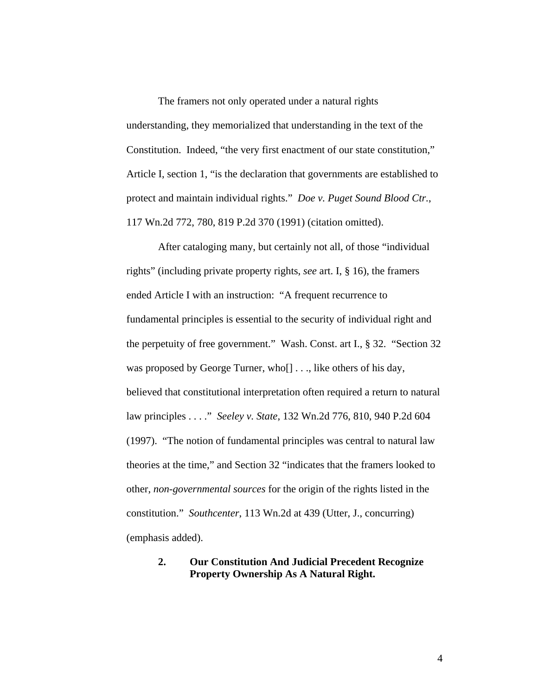The framers not only operated under a natural rights understanding, they memorialized that understanding in the text of the Constitution. Indeed, "the very first enactment of our state constitution," Article I, section 1, "is the declaration that governments are established to protect and maintain individual rights." *Doe v. Puget Sound Blood Ctr.*, 117 Wn.2d 772, 780, 819 P.2d 370 (1991) (citation omitted).

After cataloging many, but certainly not all, of those "individual rights" (including private property rights, *see* art. I, § 16), the framers ended Article I with an instruction: "A frequent recurrence to fundamental principles is essential to the security of individual right and the perpetuity of free government." Wash. Const. art I., § 32. "Section 32 was proposed by George Turner, who [] . . ., like others of his day, believed that constitutional interpretation often required a return to natural law principles . . . ." *Seeley v. State*, 132 Wn.2d 776, 810, 940 P.2d 604 (1997). "The notion of fundamental principles was central to natural law theories at the time," and Section 32 "indicates that the framers looked to other, *non-governmental sources* for the origin of the rights listed in the constitution." *Southcenter*, 113 Wn.2d at 439 (Utter, J., concurring) (emphasis added).

## **2. Our Constitution And Judicial Precedent Recognize Property Ownership As A Natural Right.**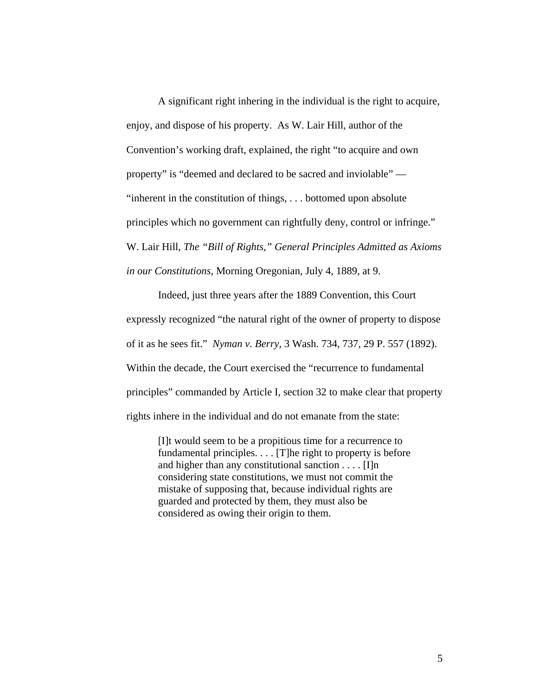A significant right inhering in the individual is the right to acquire, enjoy, and dispose of his property. As W. Lair Hill, author of the Convention's working draft, explained, the right "to acquire and own property" is "deemed and declared to be sacred and inviolable" — "inherent in the constitution of things, . . . bottomed upon absolute principles which no government can rightfully deny, control or infringe." W. Lair Hill, *The "Bill of Rights," General Principles Admitted as Axioms in our Constitutions*, Morning Oregonian, July 4, 1889, at 9.

Indeed, just three years after the 1889 Convention, this Court expressly recognized "the natural right of the owner of property to dispose of it as he sees fit." *Nyman v. Berry*, 3 Wash. 734, 737, 29 P. 557 (1892). Within the decade, the Court exercised the "recurrence to fundamental principles" commanded by Article I, section 32 to make clear that property rights inhere in the individual and do not emanate from the state:

[I]t would seem to be a propitious time for a recurrence to fundamental principles. . . . [T]he right to property is before and higher than any constitutional sanction  $\dots$  [I]n considering state constitutions, we must not commit the mistake of supposing that, because individual rights are guarded and protected by them, they must also be considered as owing their origin to them.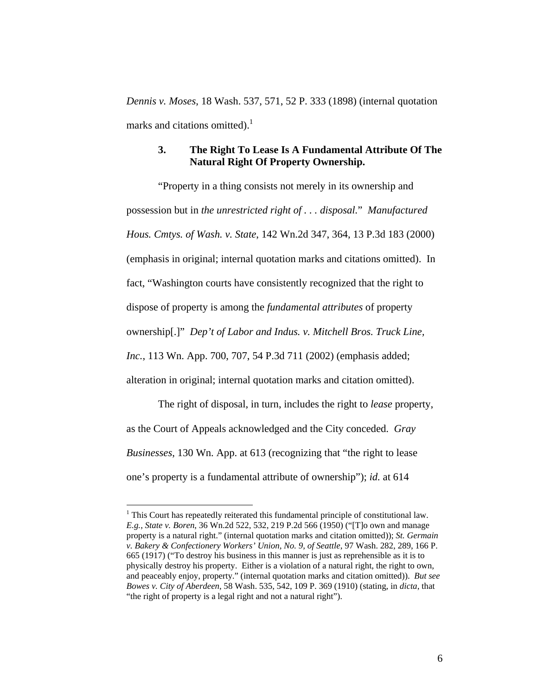*Dennis v. Moses*, 18 Wash. 537, 571, 52 P. 333 (1898) (internal quotation marks and citations omitted).<sup>1</sup>

### **3. The Right To Lease Is A Fundamental Attribute Of The Natural Right Of Property Ownership.**

"Property in a thing consists not merely in its ownership and possession but in *the unrestricted right of . . . disposal.*" *Manufactured Hous. Cmtys. of Wash. v. State*, 142 Wn.2d 347, 364, 13 P.3d 183 (2000) (emphasis in original; internal quotation marks and citations omitted). In fact, "Washington courts have consistently recognized that the right to dispose of property is among the *fundamental attributes* of property ownership[.]" *Dep't of Labor and Indus. v. Mitchell Bros. Truck Line, Inc.*, 113 Wn. App. 700, 707, 54 P.3d 711 (2002) (emphasis added; alteration in original; internal quotation marks and citation omitted).

The right of disposal, in turn, includes the right to *lease* property, as the Court of Appeals acknowledged and the City conceded. *Gray Businesses*, 130 Wn. App. at 613 (recognizing that "the right to lease one's property is a fundamental attribute of ownership"); *id.* at 614

<span id="page-9-0"></span> $1$  This Court has repeatedly reiterated this fundamental principle of constitutional law. *E.g.*, *State v. Boren*, 36 Wn.2d 522, 532, 219 P.2d 566 (1950) ("[T]o own and manage property is a natural right." (internal quotation marks and citation omitted)); *St. Germain v. Bakery & Confectionery Workers' Union, No. 9, of Seattle*, 97 Wash. 282, 289, 166 P. 665 (1917) ("To destroy his business in this manner is just as reprehensible as it is to physically destroy his property. Either is a violation of a natural right, the right to own, and peaceably enjoy, property." (internal quotation marks and citation omitted)). *But see Bowes v. City of Aberdeen*, 58 Wash. 535, 542, 109 P. 369 (1910) (stating, in *dicta*, that "the right of property is a legal right and not a natural right").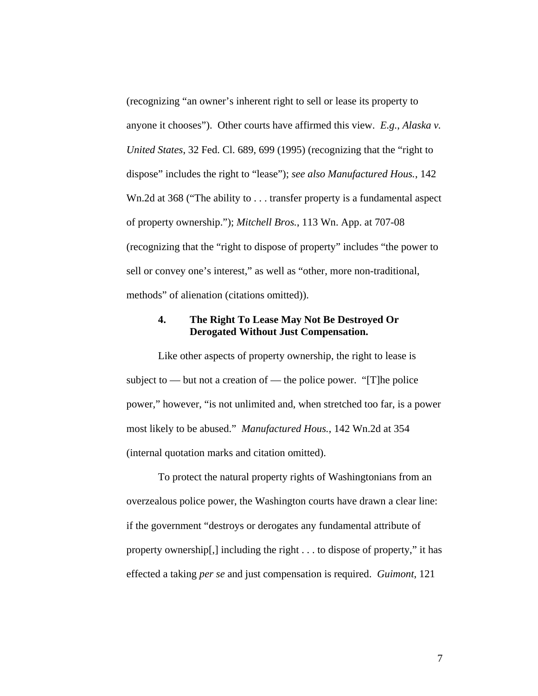(recognizing "an owner's inherent right to sell or lease its property to anyone it chooses"). Other courts have affirmed this view. *E.g.*, *Alaska v. United States*, 32 Fed. Cl. 689, 699 (1995) (recognizing that the "right to dispose" includes the right to "lease"); *see also Manufactured Hous.*, 142 Wn.2d at 368 ("The ability to . . . transfer property is a fundamental aspect of property ownership."); *Mitchell Bros.*, 113 Wn. App. at 707-08 (recognizing that the "right to dispose of property" includes "the power to sell or convey one's interest," as well as "other, more non-traditional, methods" of alienation (citations omitted)).

## **4. The Right To Lease May Not Be Destroyed Or Derogated Without Just Compensation.**

Like other aspects of property ownership, the right to lease is subject to — but not a creation of — the police power. "[T]he police power," however, "is not unlimited and, when stretched too far, is a power most likely to be abused." *Manufactured Hous.*, 142 Wn.2d at 354 (internal quotation marks and citation omitted).

To protect the natural property rights of Washingtonians from an overzealous police power, the Washington courts have drawn a clear line: if the government "destroys or derogates any fundamental attribute of property ownership[,] including the right . . . to dispose of property," it has effected a taking *per se* and just compensation is required. *Guimont*, 121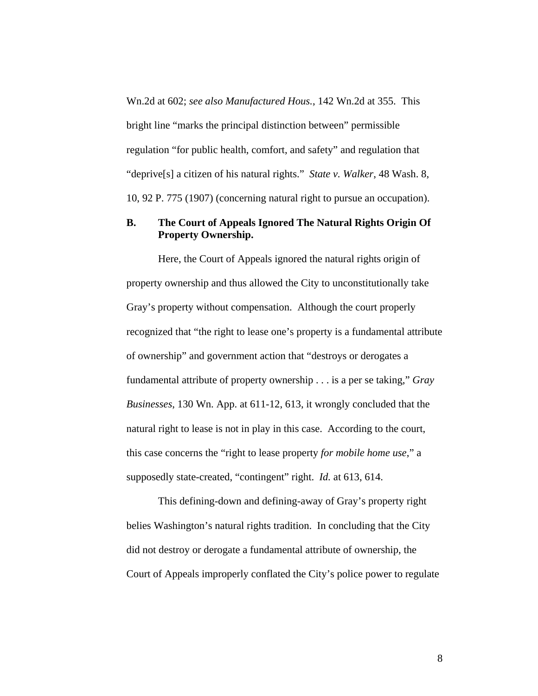Wn.2d at 602; *see also Manufactured Hous.*, 142 Wn.2d at 355. This bright line "marks the principal distinction between" permissible regulation "for public health, comfort, and safety" and regulation that "deprive[s] a citizen of his natural rights." *State v. Walker*, 48 Wash. 8, 10, 92 P. 775 (1907) (concerning natural right to pursue an occupation).

## **B. The Court of Appeals Ignored The Natural Rights Origin Of Property Ownership.**

Here, the Court of Appeals ignored the natural rights origin of property ownership and thus allowed the City to unconstitutionally take Gray's property without compensation. Although the court properly recognized that "the right to lease one's property is a fundamental attribute of ownership" and government action that "destroys or derogates a fundamental attribute of property ownership . . . is a per se taking," *Gray Businesses*, 130 Wn. App. at 611-12, 613, it wrongly concluded that the natural right to lease is not in play in this case. According to the court, this case concerns the "right to lease property *for mobile home use*," a supposedly state-created, "contingent" right. *Id.* at 613, 614.

This defining-down and defining-away of Gray's property right belies Washington's natural rights tradition. In concluding that the City did not destroy or derogate a fundamental attribute of ownership, the Court of Appeals improperly conflated the City's police power to regulate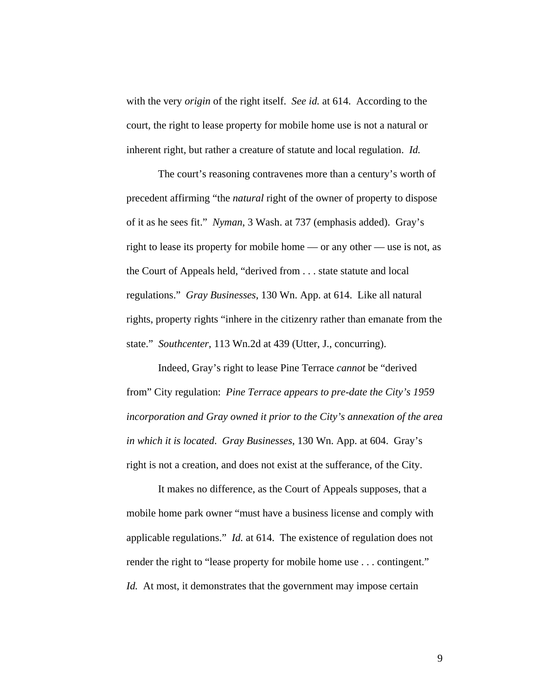with the very *origin* of the right itself. *See id.* at 614. According to the court, the right to lease property for mobile home use is not a natural or inherent right, but rather a creature of statute and local regulation. *Id.*

The court's reasoning contravenes more than a century's worth of precedent affirming "the *natural* right of the owner of property to dispose of it as he sees fit." *Nyman*, 3 Wash. at 737 (emphasis added). Gray's right to lease its property for mobile home — or any other — use is not, as the Court of Appeals held, "derived from . . . state statute and local regulations." *Gray Businesses*, 130 Wn. App. at 614. Like all natural rights, property rights "inhere in the citizenry rather than emanate from the state." *Southcenter*, 113 Wn.2d at 439 (Utter, J., concurring).

Indeed, Gray's right to lease Pine Terrace *cannot* be "derived from" City regulation: *Pine Terrace appears to pre-date the City's 1959 incorporation and Gray owned it prior to the City's annexation of the area in which it is located*. *Gray Businesses*, 130 Wn. App. at 604. Gray's right is not a creation, and does not exist at the sufferance, of the City.

It makes no difference, as the Court of Appeals supposes, that a mobile home park owner "must have a business license and comply with applicable regulations." *Id.* at 614. The existence of regulation does not render the right to "lease property for mobile home use . . . contingent." *Id.* At most, it demonstrates that the government may impose certain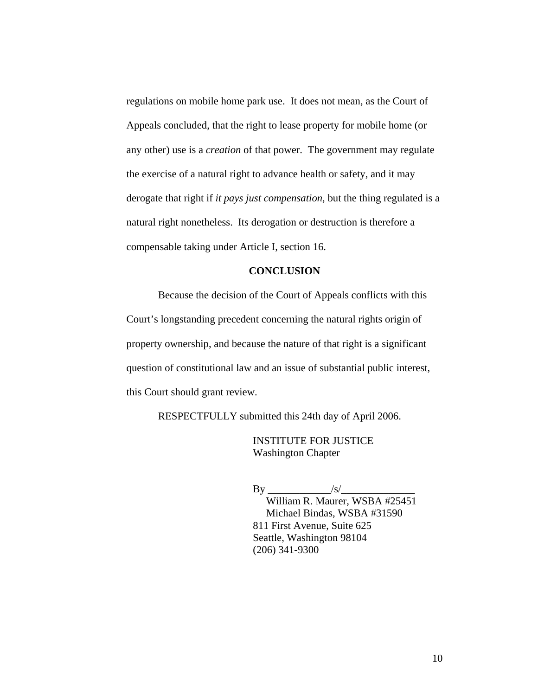regulations on mobile home park use. It does not mean, as the Court of Appeals concluded, that the right to lease property for mobile home (or any other) use is a *creation* of that power. The government may regulate the exercise of a natural right to advance health or safety, and it may derogate that right if *it pays just compensation*, but the thing regulated is a natural right nonetheless. Its derogation or destruction is therefore a compensable taking under Article I, section 16.

## **CONCLUSION**

Because the decision of the Court of Appeals conflicts with this Court's longstanding precedent concerning the natural rights origin of property ownership, and because the nature of that right is a significant question of constitutional law and an issue of substantial public interest, this Court should grant review.

RESPECTFULLY submitted this 24th day of April 2006.

 INSTITUTE FOR JUSTICE Washington Chapter

 $\mathbf{B}\mathbf{v}$  /s/ William R. Maurer, WSBA #25451 Michael Bindas, WSBA #31590 811 First Avenue, Suite 625 Seattle, Washington 98104 (206) 341-9300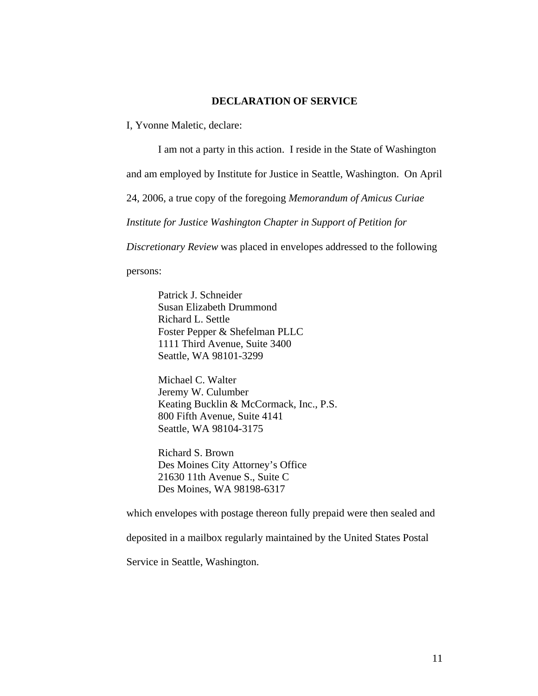#### **DECLARATION OF SERVICE**

I, Yvonne Maletic, declare:

I am not a party in this action. I reside in the State of Washington

and am employed by Institute for Justice in Seattle, Washington. On April

24, 2006, a true copy of the foregoing *Memorandum of Amicus Curiae* 

*Institute for Justice Washington Chapter in Support of Petition for* 

*Discretionary Review* was placed in envelopes addressed to the following

persons:

Patrick J. Schneider Susan Elizabeth Drummond Richard L. Settle Foster Pepper & Shefelman PLLC 1111 Third Avenue, Suite 3400 Seattle, WA 98101-3299

Michael C. Walter Jeremy W. Culumber Keating Bucklin & McCormack, Inc., P.S. 800 Fifth Avenue, Suite 4141 Seattle, WA 98104-3175

Richard S. Brown Des Moines City Attorney's Office 21630 11th Avenue S., Suite C Des Moines, WA 98198-6317

which envelopes with postage thereon fully prepaid were then sealed and

deposited in a mailbox regularly maintained by the United States Postal

Service in Seattle, Washington.